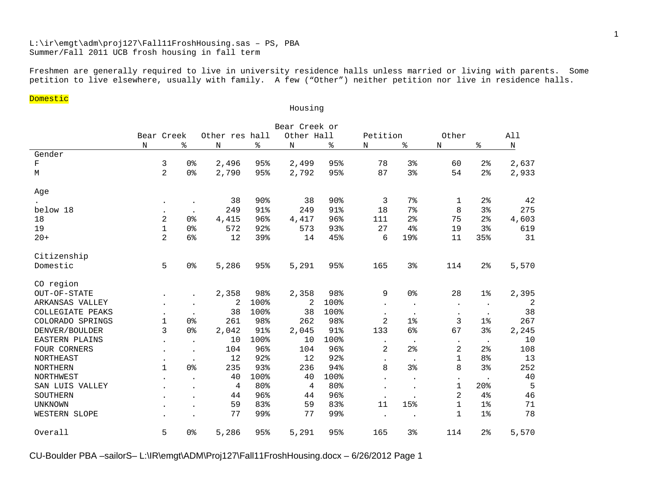# L:\ir\emgt\adm\proj127\Fall11FroshHousing.sas – PS, PBA Summer/Fall 2011 UCB frosh housing in fall term

Freshmen are generally required to live in university residence halls unless married or living with parents. Some petition to live elsewhere, usually with family. A few ("Other") neither petition nor live in residence halls.

Housing

#### Domestic

|                  | Bear Creek or |                |                |                |                 |                |                 |                |                |                |                |         |
|------------------|---------------|----------------|----------------|----------------|-----------------|----------------|-----------------|----------------|----------------|----------------|----------------|---------|
|                  |               | Bear Creek     |                | Other res hall |                 | Other Hall     |                 |                | Petition       |                |                | All     |
|                  | $_{\rm N}$    |                | ి              | $\rm N$        | ిం              | $\mathbf N$    | ి               | N              | နွ             | N              | နွ             | $\rm N$ |
| Gender           |               |                |                |                |                 |                |                 |                |                |                |                |         |
| $\mathbf F$      |               | 3              | 0 <sup>8</sup> | 2,496          | 95%             | 2,499          | 95%             | 78             | 3%             | 60             | 2 <sup>°</sup> | 2,637   |
| М                |               | $\overline{a}$ | 0 <sup>°</sup> | 2,790          | 95%             | 2,792          | 95%             | 87             | 3%             | 54             | 2 <sup>°</sup> | 2,933   |
| Age              |               |                |                |                |                 |                |                 |                |                |                |                |         |
|                  |               |                |                | 38             | 90 <sub>8</sub> | 38             | 90 <sub>8</sub> | 3              | 7%             | 1              | $2\,$          | 42      |
| below 18         |               | $\bullet$      |                | 249            | 91%             | 249            | 91%             | 18             | $7\%$          | 8              | 3%             | 275     |
| 18               |               | $\overline{a}$ | 0 <sup>8</sup> | 4,415          | 96%             | 4,417          | 96%             | 111            | 2 <sup>°</sup> | 75             | $2\,$          | 4,603   |
| 19               |               | $\mathbf{1}$   | 0 <sup>°</sup> | 572            | 92%             | 573            | 93%             | 27             | 4%             | 19             | 3 <sup>°</sup> | 619     |
| $20+$            |               | $\overline{2}$ | 6%             | 12             | 39%             | 14             | 45%             | 6              | 19%            | 11             | 35%            | 31      |
| Citizenship      |               |                |                |                |                 |                |                 |                |                |                |                |         |
| Domestic         |               | 5              | 0 <sup>°</sup> | 5,286          | 95%             | 5,291          | 95%             | 165            | 3%             | 114            | $2\frac{6}{9}$ | 5,570   |
| CO region        |               |                |                |                |                 |                |                 |                |                |                |                |         |
| OUT-OF-STATE     |               |                |                | 2,358          | 98%             | 2,358          | 98%             | 9              | 0 <sup>8</sup> | 28             | $1\%$          | 2,395   |
| ARKANSAS VALLEY  |               |                |                | 2              | 100%            | 2              | 100%            | $\bullet$      | $\bullet$      | $\bullet$      |                | 2       |
| COLLEGIATE PEAKS |               | $\bullet$      |                | 38             | 100%            | 38             | 100%            |                | $\bullet$      | $\bullet$      |                | 38      |
| COLORADO SPRINGS |               | $\mathbf 1$    | 0 <sup>8</sup> | 261            | 98%             | 262            | 98%             | 2              | $1\%$          | 3              | $1\%$          | 267     |
| DENVER/BOULDER   |               | 3              | 0 <sup>°</sup> | 2,042          | 91%             | 2,045          | 91%             | 133            | 6%             | 67             | 3%             | 2,245   |
| EASTERN PLAINS   |               |                |                | 10             | 100%            | 10             | 100%            | $\bullet$      | $\bullet$      | $\bullet$      | $\bullet$      | 10      |
| FOUR CORNERS     |               | $\bullet$      |                | 104            | 96%             | 104            | 96%             | $\overline{2}$ | 2 <sup>°</sup> | $\overline{a}$ | 2 <sup>°</sup> | 108     |
| <b>NORTHEAST</b> |               | $\bullet$      | $\bullet$      | 12             | 92%             | 12             | 92%             | $\bullet$      | $\bullet$      | $\mathbf 1$    | 8 <sup>°</sup> | 13      |
| <b>NORTHERN</b>  |               | $\mathbf{1}$   | 0 <sup>°</sup> | 235            | 93%             | 236            | 94%             | 8              | 3%             | 8              | 3%             | 252     |
| NORTHWEST        |               |                |                | 40             | 100%            | 40             | 100%            |                | $\bullet$      | $\bullet$      |                | $40$    |
| SAN LUIS VALLEY  |               |                |                | 4              | 80%             | $\overline{4}$ | 80%             |                | $\bullet$      | $\mathbf 1$    | 20%            | 5       |
| SOUTHERN         |               |                |                | 44             | 96%             | 44             | 96%             | $\bullet$      | $\bullet$      | 2              | 4%             | 46      |
| <b>UNKNOWN</b>   |               |                |                | 59             | 83%             | 59             | 83%             | 11             | 15%            | $\mathbf{1}$   | 1 <sup>°</sup> | 71      |
| WESTERN SLOPE    |               |                |                | 77             | 99%             | 77             | 99%             |                |                | $\mathbf{1}$   | $1\%$          | 78      |
| Overall          |               | 5              | 0 <sup>°</sup> | 5,286          | 95%             | 5,291          | 95%             | 165            | 3%             | 114            | 2 <sup>°</sup> | 5,570   |

CU-Boulder PBA –sailorS– L:\IR\emgt\ADM\Proj127\Fall11FroshHousing.docx – 6/26/2012 Page 1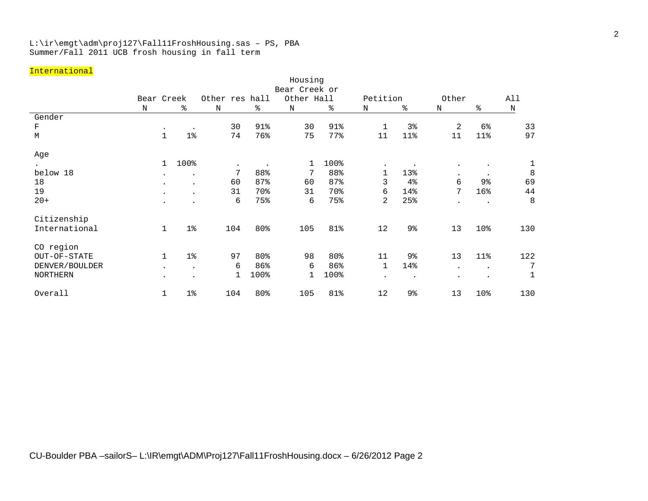### L:\ir\emgt\adm\proj127\Fall11FroshHousing.sas – PS, PBA Summer/Fall 2011 UCB frosh housing in fall term

### International

|                 | Housing       |                       |                |             |      |            |      |              |                |           |                |     |  |
|-----------------|---------------|-----------------------|----------------|-------------|------|------------|------|--------------|----------------|-----------|----------------|-----|--|
|                 | Bear Creek or |                       |                |             |      |            |      |              |                |           |                |     |  |
|                 | Bear Creek    |                       | Other res hall |             |      | Other Hall |      | Petition     |                | Other     |                | All |  |
|                 | N             | ఄ                     | N              |             | နွ   | N          | ి    | N            | နွ             | Ν         | ి              | N   |  |
| Gender          |               |                       |                |             |      |            |      |              |                |           |                |     |  |
| F               |               | $\bullet$             | $\bullet$      | 30          | 91%  | 30         | 91%  | 1            | 3%             | 2         | 6 <sup>°</sup> | 33  |  |
| М               |               | $\mathbf 1$<br>$1\%$  |                | 74          | 76%  | 75         | 77%  | 11           | 11%            | 11        | 11%            | 97  |  |
| Age             |               |                       |                |             |      |            |      |              |                |           |                |     |  |
|                 |               | $\mathbf{1}$<br>100%  |                | $\bullet$   |      | 1          | 100% | $\bullet$    | $\bullet$      | $\bullet$ |                |     |  |
| below 18        |               | $\ddot{\phantom{0}}$  |                | 7           | 88%  | 7          | 88%  | $\mathbf{1}$ | 13%            | $\bullet$ | $\bullet$      | 8   |  |
| 18              |               | $\ddot{\phantom{0}}$  | $\bullet$      | 60          | 87%  | 60         | 87%  | 3            | 4%             | 6         | 9 <sub>8</sub> | 69  |  |
| 19              |               | $\bullet$             |                | 31          | 70%  | 31         | 70%  | 6            | 14%            | 7         | 16%            | 44  |  |
| $20+$           |               | $\bullet$             |                | 6           | 75%  | 6          | 75%  | 2            | 25%            |           | $\bullet$      | 8   |  |
| Citizenship     |               |                       |                |             |      |            |      |              |                |           |                |     |  |
| International   |               | $1\%$<br>$\mathbf{1}$ |                | 104         | 80%  | 105        | 81%  | 12           | 9%             | 13        | 10%            | 130 |  |
| CO region       |               |                       |                |             |      |            |      |              |                |           |                |     |  |
| OUT-OF-STATE    |               | $1\%$<br>$\mathbf{1}$ |                | 97          | 80%  | 98         | 80%  | 11           | 9 <sub>8</sub> | 13        | 11%            | 122 |  |
| DENVER/BOULDER  |               | $\ddot{\phantom{0}}$  | $\bullet$      | 6           | 86%  | 6          | 86%  | $\mathbf{1}$ | 14%            | $\bullet$ | $\bullet$      | 7   |  |
| <b>NORTHERN</b> |               | $\bullet$             | $\bullet$      | $\mathbf 1$ | 100% | 1          | 100% | $\bullet$    | $\bullet$      | $\bullet$ | $\bullet$      | 1   |  |
| Overall         |               | 1 <sup>°</sup><br>1   |                | 104         | 80%  | 105        | 81%  | 12           | 9 <sub>8</sub> | 13        | 10%            | 130 |  |